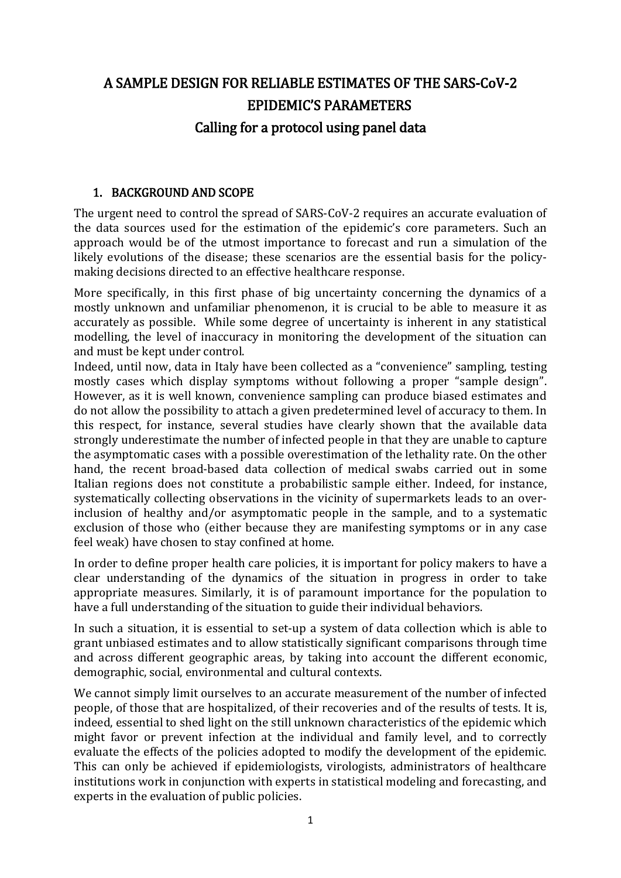# A SAMPLE DESIGN FOR RELIABLE ESTIMATES OF THE SARS-CoV-2 EPIDEMIC'S PARAMETERS Calling for a protocol using panel data

#### 1. BACKGROUND AND SCOPE

The urgent need to control the spread of SARS-CoV-2 requires an accurate evaluation of the data sources used for the estimation of the epidemic's core parameters. Such an approach would be of the utmost importance to forecast and run a simulation of the likely evolutions of the disease; these scenarios are the essential basis for the policymaking decisions directed to an effective healthcare response.

More specifically, in this first phase of big uncertainty concerning the dynamics of a mostly unknown and unfamiliar phenomenon, it is crucial to be able to measure it as accurately as possible. While some degree of uncertainty is inherent in any statistical modelling, the level of inaccuracy in monitoring the development of the situation can and must be kept under control.

Indeed, until now, data in Italy have been collected as a "convenience" sampling, testing mostly cases which display symptoms without following a proper "sample design". However, as it is well known, convenience sampling can produce biased estimates and do not allow the possibility to attach a given predetermined level of accuracy to them. In this respect, for instance, several studies have clearly shown that the available data strongly underestimate the number of infected people in that they are unable to capture the asymptomatic cases with a possible overestimation of the lethality rate. On the other hand, the recent broad-based data collection of medical swabs carried out in some Italian regions does not constitute a probabilistic sample either. Indeed, for instance, systematically collecting observations in the vicinity of supermarkets leads to an overinclusion of healthy and/or asymptomatic people in the sample, and to a systematic exclusion of those who (either because they are manifesting symptoms or in any case feel weak) have chosen to stay confined at home.

In order to define proper health care policies, it is important for policy makers to have a clear understanding of the dynamics of the situation in progress in order to take appropriate measures. Similarly, it is of paramount importance for the population to have a full understanding of the situation to guide their individual behaviors.

In such a situation, it is essential to set-up a system of data collection which is able to grant unbiased estimates and to allow statistically significant comparisons through time and across different geographic areas, by taking into account the different economic, demographic, social, environmental and cultural contexts.

We cannot simply limit ourselves to an accurate measurement of the number of infected people, of those that are hospitalized, of their recoveries and of the results of tests. It is, indeed, essential to shed light on the still unknown characteristics of the epidemic which might favor or prevent infection at the individual and family level, and to correctly evaluate the effects of the policies adopted to modify the development of the epidemic. This can only be achieved if epidemiologists, virologists, administrators of healthcare institutions work in conjunction with experts in statistical modeling and forecasting, and experts in the evaluation of public policies.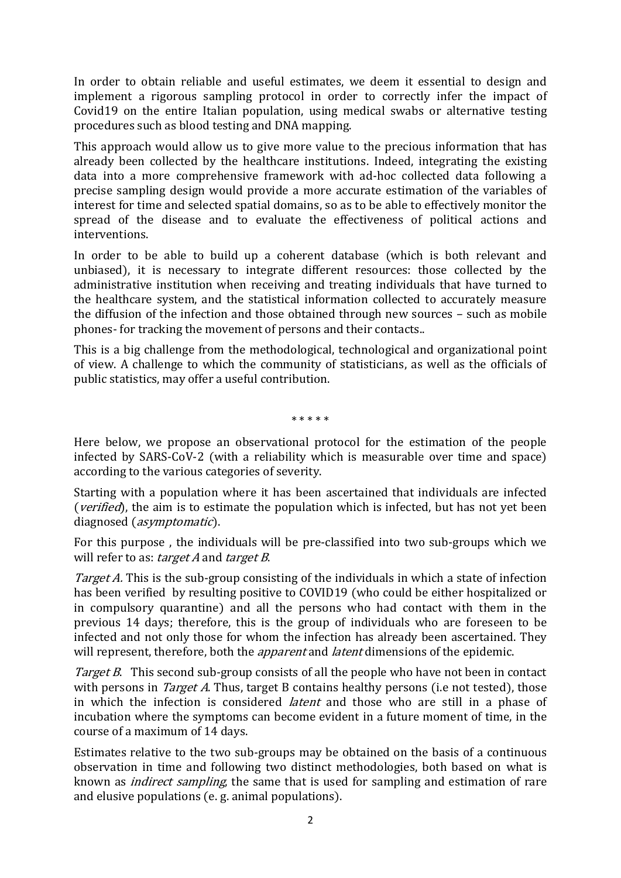In order to obtain reliable and useful estimates, we deem it essential to design and implement a rigorous sampling protocol in order to correctly infer the impact of Covid19 on the entire Italian population, using medical swabs or alternative testing procedures such as blood testing and DNA mapping.

This approach would allow us to give more value to the precious information that has already been collected by the healthcare institutions. Indeed, integrating the existing data into a more comprehensive framework with ad-hoc collected data following a precise sampling design would provide a more accurate estimation of the variables of interest for time and selected spatial domains, so as to be able to effectively monitor the spread of the disease and to evaluate the effectiveness of political actions and interventions.

In order to be able to build up a coherent database (which is both relevant and unbiased), it is necessary to integrate different resources: those collected by the administrative institution when receiving and treating individuals that have turned to the healthcare system, and the statistical information collected to accurately measure the diffusion of the infection and those obtained through new sources – such as mobile phones- for tracking the movement of persons and their contacts..

This is a big challenge from the methodological, technological and organizational point of view. A challenge to which the community of statisticians, as well as the officials of public statistics, may offer a useful contribution.

\* \* \* \* \*

Here below, we propose an observational protocol for the estimation of the people infected by SARS-CoV-2 (with a reliability which is measurable over time and space) according to the various categories of severity.

Starting with a population where it has been ascertained that individuals are infected (*verified*), the aim is to estimate the population which is infected, but has not yet been diagnosed (asymptomatic).

For this purpose , the individuals will be pre-classified into two sub-groups which we will refer to as: target A and target B.

Target A. This is the sub-group consisting of the individuals in which a state of infection has been verified by resulting positive to COVID19 (who could be either hospitalized or in compulsory quarantine) and all the persons who had contact with them in the previous 14 days; therefore, this is the group of individuals who are foreseen to be infected and not only those for whom the infection has already been ascertained. They will represent, therefore, both the *apparent* and *latent* dimensions of the epidemic.

Target B. This second sub-group consists of all the people who have not been in contact with persons in *Target A*. Thus, target B contains healthy persons (i.e not tested), those in which the infection is considered latent and those who are still in a phase of incubation where the symptoms can become evident in a future moment of time, in the course of a maximum of 14 days.

Estimates relative to the two sub-groups may be obtained on the basis of a continuous observation in time and following two distinct methodologies, both based on what is known as indirect sampling, the same that is used for sampling and estimation of rare and elusive populations (e. g. animal populations).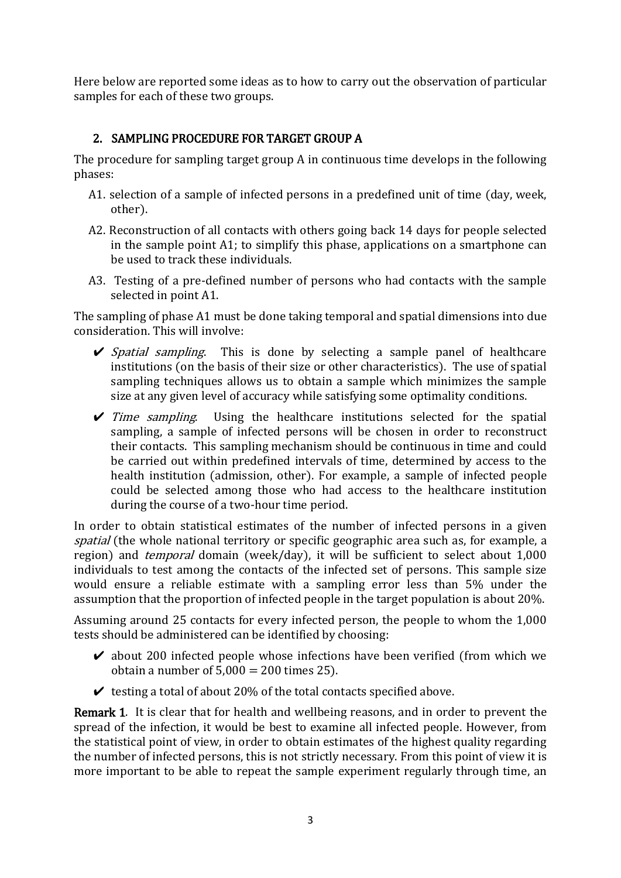Here below are reported some ideas as to how to carry out the observation of particular samples for each of these two groups.

### 2. SAMPLING PROCEDURE FOR TARGET GROUP A

The procedure for sampling target group A in continuous time develops in the following phases:

- A1. selection of a sample of infected persons in a predefined unit of time (day, week, other).
- A2. Reconstruction of all contacts with others going back 14 days for people selected in the sample point A1; to simplify this phase, applications on a smartphone can be used to track these individuals.
- A3. Testing of a pre-defined number of persons who had contacts with the sample selected in point A1.

The sampling of phase A1 must be done taking temporal and spatial dimensions into due consideration. This will involve:

- $\triangleright$  Spatial sampling. This is done by selecting a sample panel of healthcare institutions (on the basis of their size or other characteristics). The use of spatial sampling techniques allows us to obtain a sample which minimizes the sample size at any given level of accuracy while satisfying some optimality conditions.
- $\triangledown$  *Time sampling.* Using the healthcare institutions selected for the spatial sampling, a sample of infected persons will be chosen in order to reconstruct their contacts. This sampling mechanism should be continuous in time and could be carried out within predefined intervals of time, determined by access to the health institution (admission, other). For example, a sample of infected people could be selected among those who had access to the healthcare institution during the course of a two-hour time period.

In order to obtain statistical estimates of the number of infected persons in a given spatial (the whole national territory or specific geographic area such as, for example, a region) and *temporal* domain (week/day), it will be sufficient to select about 1,000 individuals to test among the contacts of the infected set of persons. This sample size would ensure a reliable estimate with a sampling error less than 5% under the assumption that the proportion of infected people in the target population is about 20%.

Assuming around 25 contacts for every infected person, the people to whom the 1,000 tests should be administered can be identified by choosing:

- $\triangleright$  about 200 infected people whose infections have been verified (from which we obtain a number of  $5,000 = 200$  times 25).
- $\triangleright$  testing a total of about 20% of the total contacts specified above.

Remark 1. It is clear that for health and wellbeing reasons, and in order to prevent the spread of the infection, it would be best to examine all infected people. However, from the statistical point of view, in order to obtain estimates of the highest quality regarding the number of infected persons, this is not strictly necessary. From this point of view it is more important to be able to repeat the sample experiment regularly through time, an